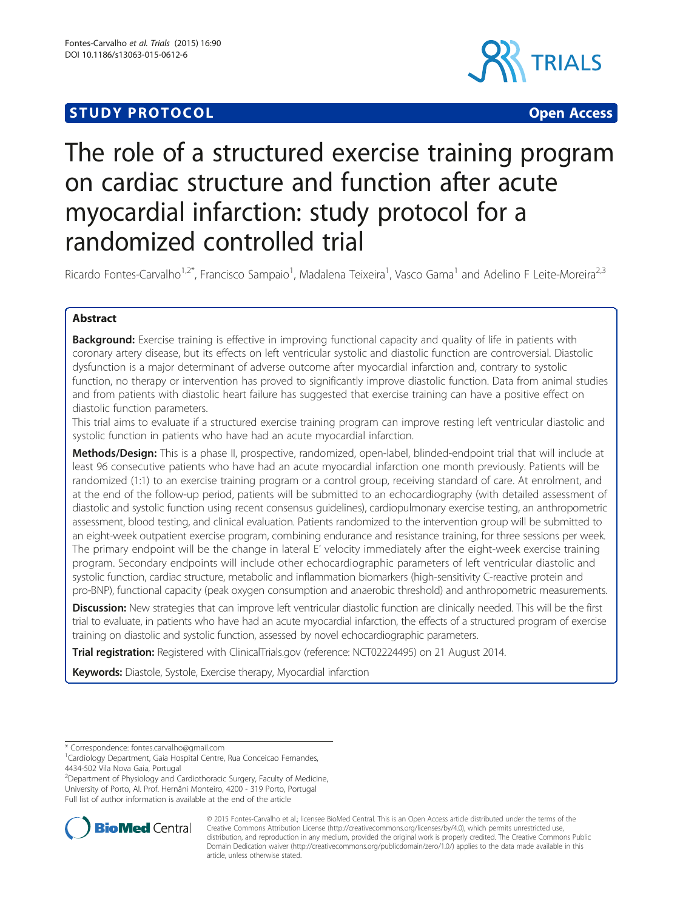# **STUDY PROTOCOL CONSUMING THE CONSUMING OPEN ACCESS**



# The role of a structured exercise training program on cardiac structure and function after acute myocardial infarction: study protocol for a randomized controlled trial

Ricardo Fontes-Carvalho<sup>1,2\*</sup>, Francisco Sampaio<sup>1</sup>, Madalena Teixeira<sup>1</sup>, Vasco Gama<sup>1</sup> and Adelino F Leite-Moreira<sup>2,3</sup>

# Abstract

**Background:** Exercise training is effective in improving functional capacity and quality of life in patients with coronary artery disease, but its effects on left ventricular systolic and diastolic function are controversial. Diastolic dysfunction is a major determinant of adverse outcome after myocardial infarction and, contrary to systolic function, no therapy or intervention has proved to significantly improve diastolic function. Data from animal studies and from patients with diastolic heart failure has suggested that exercise training can have a positive effect on diastolic function parameters.

This trial aims to evaluate if a structured exercise training program can improve resting left ventricular diastolic and systolic function in patients who have had an acute myocardial infarction.

Methods/Design: This is a phase II, prospective, randomized, open-label, blinded-endpoint trial that will include at least 96 consecutive patients who have had an acute myocardial infarction one month previously. Patients will be randomized (1:1) to an exercise training program or a control group, receiving standard of care. At enrolment, and at the end of the follow-up period, patients will be submitted to an echocardiography (with detailed assessment of diastolic and systolic function using recent consensus guidelines), cardiopulmonary exercise testing, an anthropometric assessment, blood testing, and clinical evaluation. Patients randomized to the intervention group will be submitted to an eight-week outpatient exercise program, combining endurance and resistance training, for three sessions per week. The primary endpoint will be the change in lateral E' velocity immediately after the eight-week exercise training program. Secondary endpoints will include other echocardiographic parameters of left ventricular diastolic and systolic function, cardiac structure, metabolic and inflammation biomarkers (high-sensitivity C-reactive protein and pro-BNP), functional capacity (peak oxygen consumption and anaerobic threshold) and anthropometric measurements.

Discussion: New strategies that can improve left ventricular diastolic function are clinically needed. This will be the first trial to evaluate, in patients who have had an acute myocardial infarction, the effects of a structured program of exercise training on diastolic and systolic function, assessed by novel echocardiographic parameters.

Trial registration: Registered with ClinicalTrials.gov (reference: [NCT02224495\)](https://clinicaltrials.gov/ct2/show/NCT02224495?term=NCT02224495&rank=1) on 21 August 2014.

**Keywords:** Diastole, Systole, Exercise therapy, Myocardial infarction

<sup>2</sup>Department of Physiology and Cardiothoracic Surgery, Faculty of Medicine, University of Porto, Al. Prof. Hernâni Monteiro, 4200 - 319 Porto, Portugal Full list of author information is available at the end of the article



© 2015 Fontes-Carvalho et al.; licensee BioMed Central. This is an Open Access article distributed under the terms of the Creative Commons Attribution License (<http://creativecommons.org/licenses/by/4.0>), which permits unrestricted use, distribution, and reproduction in any medium, provided the original work is properly credited. The Creative Commons Public Domain Dedication waiver [\(http://creativecommons.org/publicdomain/zero/1.0/\)](http://creativecommons.org/publicdomain/zero/1.0/) applies to the data made available in this article, unless otherwise stated.

<sup>\*</sup> Correspondence: [fontes.carvalho@gmail.com](mailto:fontes.carvalho@gmail.com) <sup>1</sup>

<sup>&</sup>lt;sup>1</sup> Cardiology Department, Gaia Hospital Centre, Rua Conceicao Fernandes, 4434-502 Vila Nova Gaia, Portugal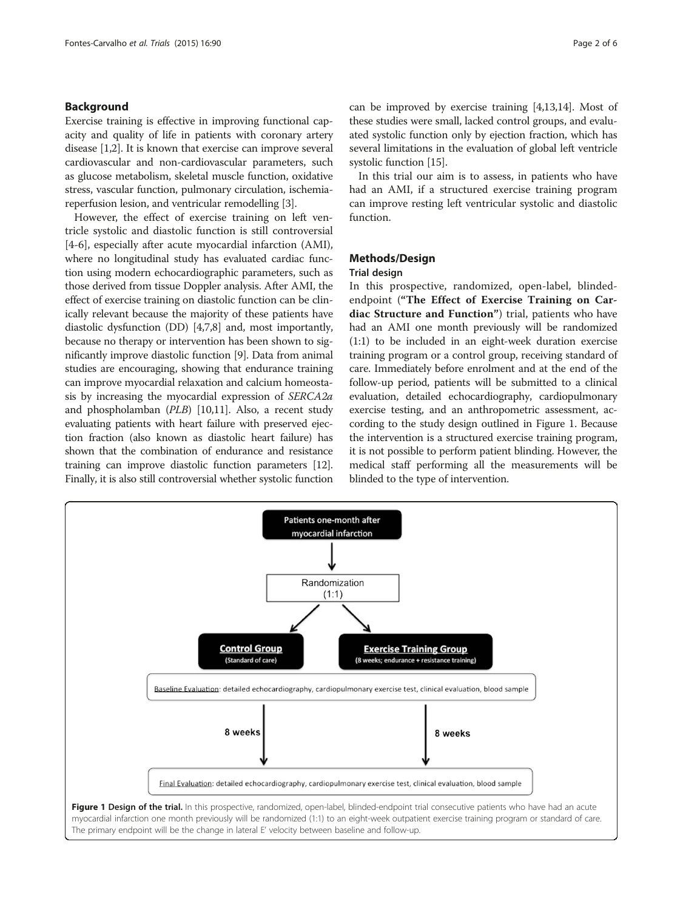# Background

Exercise training is effective in improving functional capacity and quality of life in patients with coronary artery disease [\[1,2](#page-4-0)]. It is known that exercise can improve several cardiovascular and non-cardiovascular parameters, such as glucose metabolism, skeletal muscle function, oxidative stress, vascular function, pulmonary circulation, ischemiareperfusion lesion, and ventricular remodelling [\[3\]](#page-4-0).

However, the effect of exercise training on left ventricle systolic and diastolic function is still controversial [[4](#page-4-0)[-6](#page-5-0)], especially after acute myocardial infarction (AMI), where no longitudinal study has evaluated cardiac function using modern echocardiographic parameters, such as those derived from tissue Doppler analysis. After AMI, the effect of exercise training on diastolic function can be clinically relevant because the majority of these patients have diastolic dysfunction (DD) [\[4](#page-4-0)[,7,8](#page-5-0)] and, most importantly, because no therapy or intervention has been shown to significantly improve diastolic function [\[9\]](#page-5-0). Data from animal studies are encouraging, showing that endurance training can improve myocardial relaxation and calcium homeostasis by increasing the myocardial expression of SERCA2a and phospholamban (PLB) [[10](#page-5-0),[11](#page-5-0)]. Also, a recent study evaluating patients with heart failure with preserved ejection fraction (also known as diastolic heart failure) has shown that the combination of endurance and resistance training can improve diastolic function parameters [[12](#page-5-0)]. Finally, it is also still controversial whether systolic function can be improved by exercise training [[4,](#page-4-0)[13,14\]](#page-5-0). Most of these studies were small, lacked control groups, and evaluated systolic function only by ejection fraction, which has several limitations in the evaluation of global left ventricle systolic function [\[15](#page-5-0)].

In this trial our aim is to assess, in patients who have had an AMI, if a structured exercise training program can improve resting left ventricular systolic and diastolic function.

# Methods/Design

# Trial design

In this prospective, randomized, open-label, blindedendpoint ("The Effect of Exercise Training on Cardiac Structure and Function") trial, patients who have had an AMI one month previously will be randomized (1:1) to be included in an eight-week duration exercise training program or a control group, receiving standard of care. Immediately before enrolment and at the end of the follow-up period, patients will be submitted to a clinical evaluation, detailed echocardiography, cardiopulmonary exercise testing, and an anthropometric assessment, according to the study design outlined in Figure 1. Because the intervention is a structured exercise training program, it is not possible to perform patient blinding. However, the medical staff performing all the measurements will be blinded to the type of intervention.



The primary endpoint will be the change in lateral E' velocity between baseline and follow-up.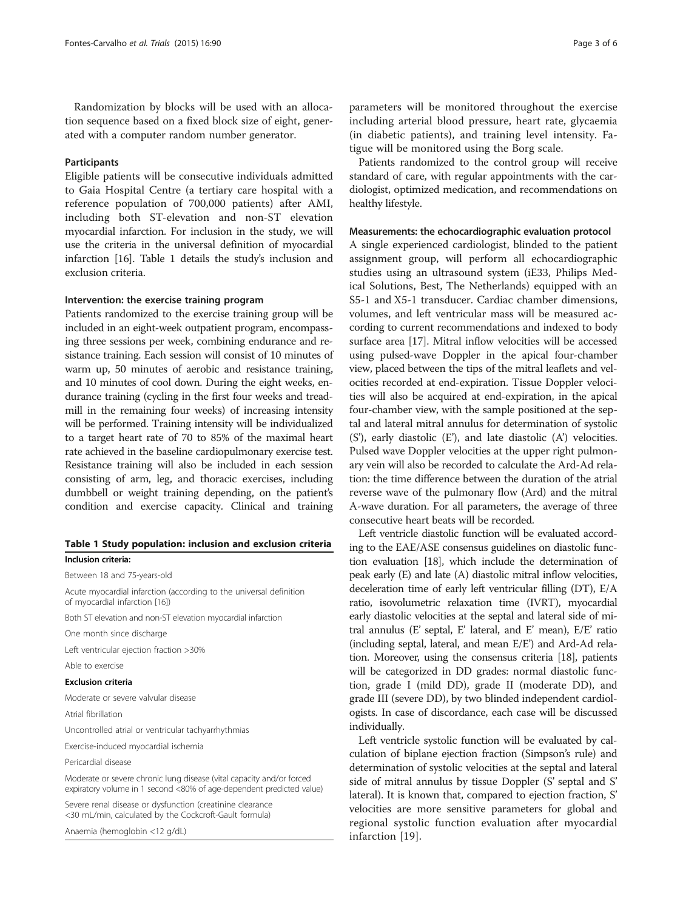Randomization by blocks will be used with an allocation sequence based on a fixed block size of eight, generated with a computer random number generator.

# Participants

Eligible patients will be consecutive individuals admitted to Gaia Hospital Centre (a tertiary care hospital with a reference population of 700,000 patients) after AMI, including both ST-elevation and non-ST elevation myocardial infarction. For inclusion in the study, we will use the criteria in the universal definition of myocardial infarction [[16](#page-5-0)]. Table 1 details the study's inclusion and exclusion criteria.

#### Intervention: the exercise training program

Patients randomized to the exercise training group will be included in an eight-week outpatient program, encompassing three sessions per week, combining endurance and resistance training. Each session will consist of 10 minutes of warm up, 50 minutes of aerobic and resistance training, and 10 minutes of cool down. During the eight weeks, endurance training (cycling in the first four weeks and treadmill in the remaining four weeks) of increasing intensity will be performed. Training intensity will be individualized to a target heart rate of 70 to 85% of the maximal heart rate achieved in the baseline cardiopulmonary exercise test. Resistance training will also be included in each session consisting of arm, leg, and thoracic exercises, including dumbbell or weight training depending, on the patient's condition and exercise capacity. Clinical and training

# Table 1 Study population: inclusion and exclusion criteria

#### Inclusion criteria:

Between 18 and 75-years-old

Acute myocardial infarction (according to the universal definition of myocardial infarction [\[16\]](#page-5-0))

Both ST elevation and non-ST elevation myocardial infarction

One month since discharge

Left ventricular ejection fraction >30%

Able to exercise

#### Exclusion criteria

Moderate or severe valvular disease

Atrial fibrillation

Uncontrolled atrial or ventricular tachyarrhythmias

Exercise-induced myocardial ischemia

Pericardial disease

Moderate or severe chronic lung disease (vital capacity and/or forced expiratory volume in 1 second <80% of age-dependent predicted value)

Severe renal disease or dysfunction (creatinine clearance <30 mL/min, calculated by the Cockcroft-Gault formula)

Anaemia (hemoglobin <12 g/dL)

parameters will be monitored throughout the exercise including arterial blood pressure, heart rate, glycaemia (in diabetic patients), and training level intensity. Fatigue will be monitored using the Borg scale.

Patients randomized to the control group will receive standard of care, with regular appointments with the cardiologist, optimized medication, and recommendations on healthy lifestyle.

# Measurements: the echocardiographic evaluation protocol

A single experienced cardiologist, blinded to the patient assignment group, will perform all echocardiographic studies using an ultrasound system (iE33, Philips Medical Solutions, Best, The Netherlands) equipped with an S5-1 and X5-1 transducer. Cardiac chamber dimensions, volumes, and left ventricular mass will be measured according to current recommendations and indexed to body surface area [\[17](#page-5-0)]. Mitral inflow velocities will be accessed using pulsed-wave Doppler in the apical four-chamber view, placed between the tips of the mitral leaflets and velocities recorded at end-expiration. Tissue Doppler velocities will also be acquired at end-expiration, in the apical four-chamber view, with the sample positioned at the septal and lateral mitral annulus for determination of systolic (S'), early diastolic (E'), and late diastolic (A') velocities. Pulsed wave Doppler velocities at the upper right pulmonary vein will also be recorded to calculate the Ard-Ad relation: the time difference between the duration of the atrial reverse wave of the pulmonary flow (Ard) and the mitral A-wave duration. For all parameters, the average of three consecutive heart beats will be recorded.

Left ventricle diastolic function will be evaluated according to the EAE/ASE consensus guidelines on diastolic function evaluation [\[18](#page-5-0)], which include the determination of peak early (E) and late (A) diastolic mitral inflow velocities, deceleration time of early left ventricular filling (DT), E/A ratio, isovolumetric relaxation time (IVRT), myocardial early diastolic velocities at the septal and lateral side of mitral annulus (E' septal, E' lateral, and E' mean), E/E' ratio (including septal, lateral, and mean E/E') and Ard-Ad relation. Moreover, using the consensus criteria [\[18\]](#page-5-0), patients will be categorized in DD grades: normal diastolic function, grade I (mild DD), grade II (moderate DD), and grade III (severe DD), by two blinded independent cardiologists. In case of discordance, each case will be discussed individually.

Left ventricle systolic function will be evaluated by calculation of biplane ejection fraction (Simpson's rule) and determination of systolic velocities at the septal and lateral side of mitral annulus by tissue Doppler (S' septal and S' lateral). It is known that, compared to ejection fraction, S' velocities are more sensitive parameters for global and regional systolic function evaluation after myocardial infarction [[19](#page-5-0)].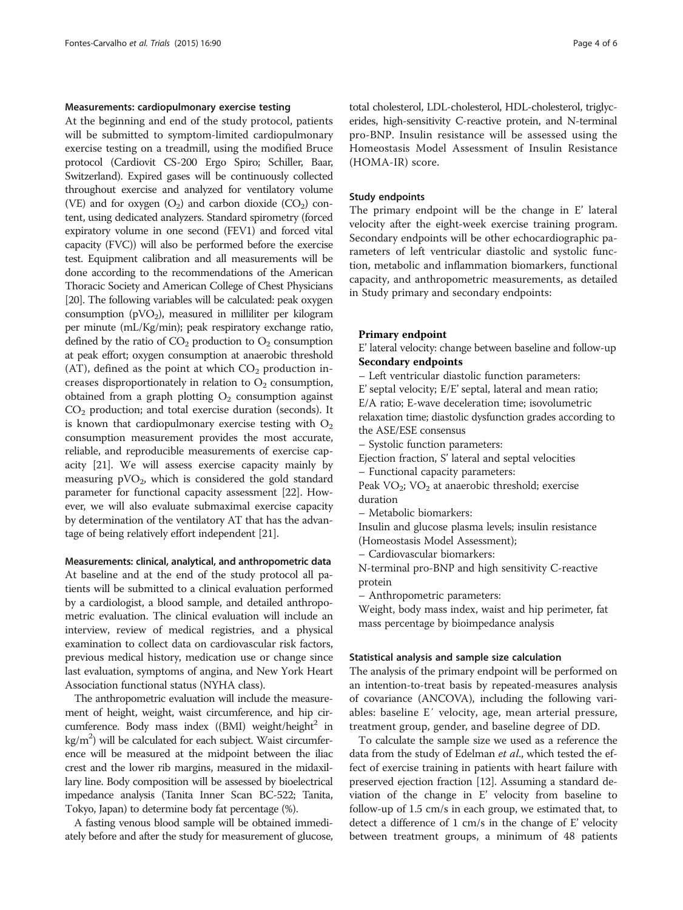#### Measurements: cardiopulmonary exercise testing

At the beginning and end of the study protocol, patients will be submitted to symptom-limited cardiopulmonary exercise testing on a treadmill, using the modified Bruce protocol (Cardiovit CS-200 Ergo Spiro; Schiller, Baar, Switzerland). Expired gases will be continuously collected throughout exercise and analyzed for ventilatory volume (VE) and for oxygen  $(O_2)$  and carbon dioxide  $(CO_2)$  content, using dedicated analyzers. Standard spirometry (forced expiratory volume in one second (FEV1) and forced vital capacity (FVC)) will also be performed before the exercise test. Equipment calibration and all measurements will be done according to the recommendations of the American Thoracic Society and American College of Chest Physicians [[20](#page-5-0)]. The following variables will be calculated: peak oxygen consumption  $(pVO<sub>2</sub>)$ , measured in milliliter per kilogram per minute (mL/Kg/min); peak respiratory exchange ratio, defined by the ratio of  $CO<sub>2</sub>$  production to  $O<sub>2</sub>$  consumption at peak effort; oxygen consumption at anaerobic threshold (AT), defined as the point at which  $CO<sub>2</sub>$  production increases disproportionately in relation to  $O<sub>2</sub>$  consumption, obtained from a graph plotting  $O<sub>2</sub>$  consumption against  $CO<sub>2</sub>$  production; and total exercise duration (seconds). It is known that cardiopulmonary exercise testing with  $O_2$ consumption measurement provides the most accurate, reliable, and reproducible measurements of exercise capacity [[21\]](#page-5-0). We will assess exercise capacity mainly by measuring  $pVO<sub>2</sub>$ , which is considered the gold standard parameter for functional capacity assessment [[22\]](#page-5-0). However, we will also evaluate submaximal exercise capacity by determination of the ventilatory AT that has the advantage of being relatively effort independent [\[21](#page-5-0)].

# Measurements: clinical, analytical, and anthropometric data

At baseline and at the end of the study protocol all patients will be submitted to a clinical evaluation performed by a cardiologist, a blood sample, and detailed anthropometric evaluation. The clinical evaluation will include an interview, review of medical registries, and a physical examination to collect data on cardiovascular risk factors, previous medical history, medication use or change since last evaluation, symptoms of angina, and New York Heart Association functional status (NYHA class).

The anthropometric evaluation will include the measurement of height, weight, waist circumference, and hip circumference. Body mass index  $((BMI)$  weight/height<sup>2</sup> in kg/m<sup>2</sup>) will be calculated for each subject. Waist circumference will be measured at the midpoint between the iliac crest and the lower rib margins, measured in the midaxillary line. Body composition will be assessed by bioelectrical impedance analysis (Tanita Inner Scan BC-522; Tanita, Tokyo, Japan) to determine body fat percentage (%).

A fasting venous blood sample will be obtained immediately before and after the study for measurement of glucose, total cholesterol, LDL-cholesterol, HDL-cholesterol, triglycerides, high-sensitivity C-reactive protein, and N-terminal pro-BNP. Insulin resistance will be assessed using the Homeostasis Model Assessment of Insulin Resistance (HOMA-IR) score.

# Study endpoints

The primary endpoint will be the change in E' lateral velocity after the eight-week exercise training program. Secondary endpoints will be other echocardiographic parameters of left ventricular diastolic and systolic function, metabolic and inflammation biomarkers, functional capacity, and anthropometric measurements, as detailed in Study primary and secondary endpoints:

# Primary endpoint

E' lateral velocity: change between baseline and follow-up Secondary endpoints

– Left ventricular diastolic function parameters: E' septal velocity; E/E' septal, lateral and mean ratio; E/A ratio; E-wave deceleration time; isovolumetric relaxation time; diastolic dysfunction grades according to the ASE/ESE consensus

– Systolic function parameters:

Ejection fraction, S' lateral and septal velocities – Functional capacity parameters:

Peak  $VO_2$ ;  $VO_2$  at anaerobic threshold; exercise duration

– Metabolic biomarkers:

Insulin and glucose plasma levels; insulin resistance (Homeostasis Model Assessment);

– Cardiovascular biomarkers:

N-terminal pro-BNP and high sensitivity C-reactive protein

– Anthropometric parameters:

Weight, body mass index, waist and hip perimeter, fat mass percentage by bioimpedance analysis

#### Statistical analysis and sample size calculation

The analysis of the primary endpoint will be performed on an intention-to-treat basis by repeated-measures analysis of covariance (ANCOVA), including the following variables: baseline E′ velocity, age, mean arterial pressure, treatment group, gender, and baseline degree of DD.

To calculate the sample size we used as a reference the data from the study of Edelman et al., which tested the effect of exercise training in patients with heart failure with preserved ejection fraction [[12](#page-5-0)]. Assuming a standard deviation of the change in E' velocity from baseline to follow-up of 1.5 cm/s in each group, we estimated that, to detect a difference of 1 cm/s in the change of E' velocity between treatment groups, a minimum of 48 patients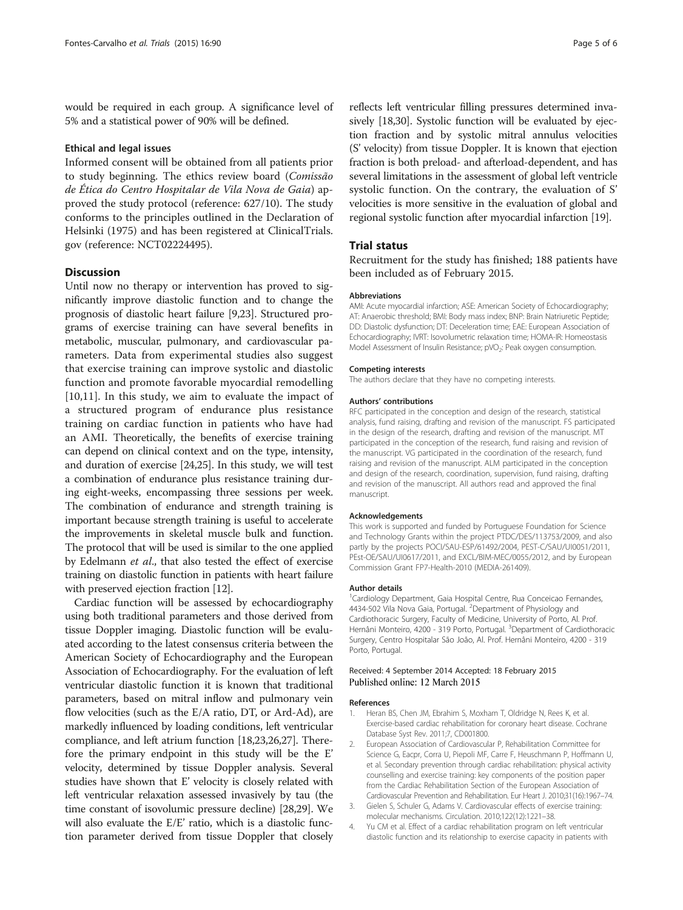<span id="page-4-0"></span>would be required in each group. A significance level of 5% and a statistical power of 90% will be defined.

# Ethical and legal issues

Informed consent will be obtained from all patients prior to study beginning. The ethics review board (Comissão de Ética do Centro Hospitalar de Vila Nova de Gaia) approved the study protocol (reference: 627/10). The study conforms to the principles outlined in the Declaration of Helsinki (1975) and has been registered at ClinicalTrials. gov (reference: NCT02224495).

# **Discussion**

Until now no therapy or intervention has proved to significantly improve diastolic function and to change the prognosis of diastolic heart failure [\[9,23\]](#page-5-0). Structured programs of exercise training can have several benefits in metabolic, muscular, pulmonary, and cardiovascular parameters. Data from experimental studies also suggest that exercise training can improve systolic and diastolic function and promote favorable myocardial remodelling [[10,11](#page-5-0)]. In this study, we aim to evaluate the impact of a structured program of endurance plus resistance training on cardiac function in patients who have had an AMI. Theoretically, the benefits of exercise training can depend on clinical context and on the type, intensity, and duration of exercise [\[24,25](#page-5-0)]. In this study, we will test a combination of endurance plus resistance training during eight-weeks, encompassing three sessions per week. The combination of endurance and strength training is important because strength training is useful to accelerate the improvements in skeletal muscle bulk and function. The protocol that will be used is similar to the one applied by Edelmann et al., that also tested the effect of exercise training on diastolic function in patients with heart failure with preserved ejection fraction [[12](#page-5-0)].

Cardiac function will be assessed by echocardiography using both traditional parameters and those derived from tissue Doppler imaging. Diastolic function will be evaluated according to the latest consensus criteria between the American Society of Echocardiography and the European Association of Echocardiography. For the evaluation of left ventricular diastolic function it is known that traditional parameters, based on mitral inflow and pulmonary vein flow velocities (such as the E/A ratio, DT, or Ard-Ad), are markedly influenced by loading conditions, left ventricular compliance, and left atrium function [\[18,23,26,27](#page-5-0)]. Therefore the primary endpoint in this study will be the E' velocity, determined by tissue Doppler analysis. Several studies have shown that E' velocity is closely related with left ventricular relaxation assessed invasively by tau (the time constant of isovolumic pressure decline) [[28,29](#page-5-0)]. We will also evaluate the E/E' ratio, which is a diastolic function parameter derived from tissue Doppler that closely

reflects left ventricular filling pressures determined invasively [\[18,30](#page-5-0)]. Systolic function will be evaluated by ejection fraction and by systolic mitral annulus velocities (S' velocity) from tissue Doppler. It is known that ejection fraction is both preload- and afterload-dependent, and has several limitations in the assessment of global left ventricle systolic function. On the contrary, the evaluation of S' velocities is more sensitive in the evaluation of global and regional systolic function after myocardial infarction [[19](#page-5-0)].

# Trial status

Recruitment for the study has finished; 188 patients have been included as of February 2015.

#### Abbreviations

AMI: Acute myocardial infarction; ASE: American Society of Echocardiography; AT: Anaerobic threshold; BMI: Body mass index; BNP: Brain Natriuretic Peptide; DD: Diastolic dysfunction; DT: Deceleration time; EAE: European Association of Echocardiography; IVRT: Isovolumetric relaxation time; HOMA-IR: Homeostasis Model Assessment of Insulin Resistance; pVO<sub>2</sub>: Peak oxygen consumption.

#### Competing interests

The authors declare that they have no competing interests.

#### Authors' contributions

RFC participated in the conception and design of the research, statistical analysis, fund raising, drafting and revision of the manuscript. FS participated in the design of the research, drafting and revision of the manuscript. MT participated in the conception of the research, fund raising and revision of the manuscript. VG participated in the coordination of the research, fund raising and revision of the manuscript. ALM participated in the conception and design of the research, coordination, supervision, fund raising, drafting and revision of the manuscript. All authors read and approved the final manuscript.

#### Acknowledgements

This work is supported and funded by Portuguese Foundation for Science and Technology Grants within the project PTDC/DES/113753/2009, and also partly by the projects POCI/SAU-ESP/61492/2004, PEST-C/SAU/UI0051/2011, PEst-OE/SAU/UI0617/2011, and EXCL/BIM-MEC/0055/2012, and by European Commission Grant FP7-Health-2010 (MEDIA-261409).

#### Author details

<sup>1</sup> Cardiology Department, Gaia Hospital Centre, Rua Conceicao Fernandes, 4434-502 Vila Nova Gaia, Portugal. <sup>2</sup> Department of Physiology and Cardiothoracic Surgery, Faculty of Medicine, University of Porto, Al. Prof. Hernâni Monteiro, 4200 - 319 Porto, Portugal. <sup>3</sup>Department of Cardiothoracio Surgery, Centro Hospitalar São João, Al. Prof. Hernâni Monteiro, 4200 - 319 Porto, Portugal.

# Received: 4 September 2014 Accepted: 18 February 2015 Published online: 12 March 2015

#### References

- 1. Heran BS, Chen JM, Ebrahim S, Moxham T, Oldridge N, Rees K, et al. Exercise-based cardiac rehabilitation for coronary heart disease. Cochrane Database Syst Rev. 2011;7, CD001800.
- 2. European Association of Cardiovascular P, Rehabilitation Committee for Science G, Eacpr, Corra U, Piepoli MF, Carre F, Heuschmann P, Hoffmann U, et al. Secondary prevention through cardiac rehabilitation: physical activity counselling and exercise training: key components of the position paper from the Cardiac Rehabilitation Section of the European Association of Cardiovascular Prevention and Rehabilitation. Eur Heart J. 2010;31(16):1967–74.
- 3. Gielen S, Schuler G, Adams V. Cardiovascular effects of exercise training: molecular mechanisms. Circulation. 2010;122(12):1221–38.
- 4. Yu CM et al. Effect of a cardiac rehabilitation program on left ventricular diastolic function and its relationship to exercise capacity in patients with